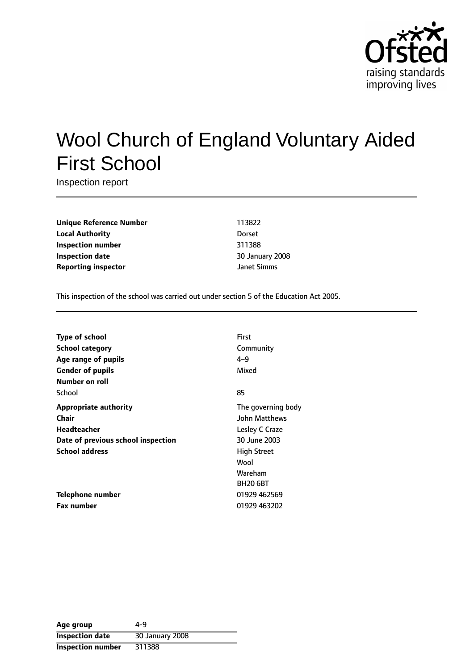

# Wool Church of England Voluntary Aided First School

Inspection report

**Unique Reference Number** 113822 **Local Authority** Dorset **Inspection number** 311388 **Inspection date** 30 January 2008 **Reporting inspector** *CON Ianet Simms* 

This inspection of the school was carried out under section 5 of the Education Act 2005.

| Type of school                     | First              |
|------------------------------------|--------------------|
| <b>School category</b>             | Community          |
| Age range of pupils                | $4 - 9$            |
| <b>Gender of pupils</b>            | Mixed              |
| Number on roll                     |                    |
| School                             | 85                 |
| <b>Appropriate authority</b>       | The governing body |
| Chair                              | John Matthews      |
| <b>Headteacher</b>                 | Lesley C Craze     |
| Date of previous school inspection | 30 June 2003       |
| <b>School address</b>              | <b>High Street</b> |
|                                    | Wool               |
|                                    | Wareham            |
|                                    | <b>BH20 6BT</b>    |
| Telephone number                   | 01929 462569       |
| <b>Fax number</b>                  | 01929 463202       |

| Age group                | 4-9             |
|--------------------------|-----------------|
| <b>Inspection date</b>   | 30 January 2008 |
| <b>Inspection number</b> | 311388          |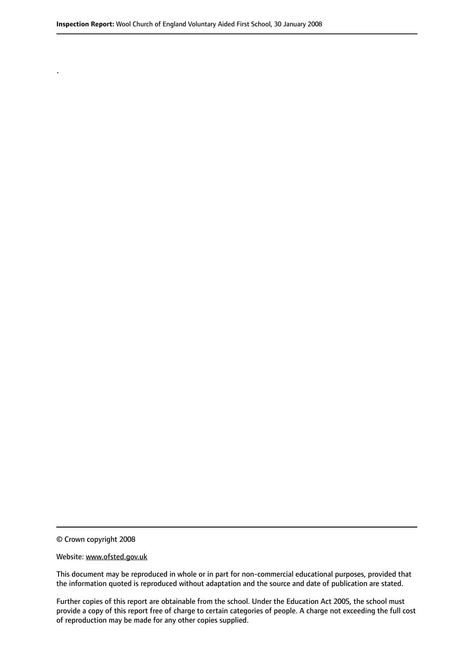© Crown copyright 2008

.

#### Website: www.ofsted.gov.uk

This document may be reproduced in whole or in part for non-commercial educational purposes, provided that the information quoted is reproduced without adaptation and the source and date of publication are stated.

Further copies of this report are obtainable from the school. Under the Education Act 2005, the school must provide a copy of this report free of charge to certain categories of people. A charge not exceeding the full cost of reproduction may be made for any other copies supplied.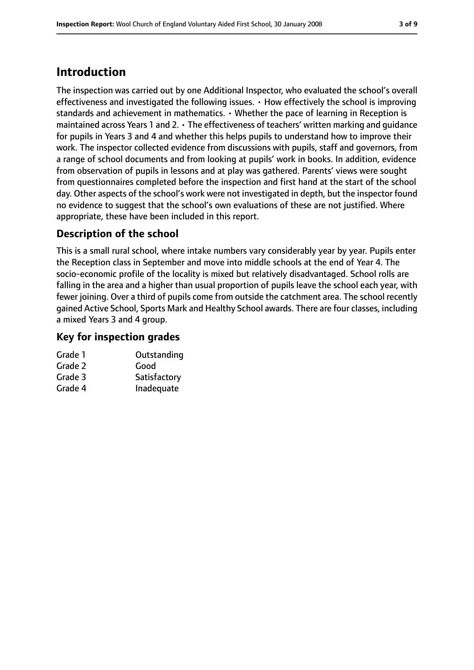# **Introduction**

The inspection was carried out by one Additional Inspector, who evaluated the school's overall effectiveness and investigated the following issues. • How effectively the school is improving standards and achievement in mathematics. • Whether the pace of learning in Reception is maintained across Years 1 and 2. • The effectiveness of teachers' written marking and guidance for pupils in Years 3 and 4 and whether this helps pupils to understand how to improve their work. The inspector collected evidence from discussions with pupils, staff and governors, from a range of school documents and from looking at pupils' work in books. In addition, evidence from observation of pupils in lessons and at play was gathered. Parents' views were sought from questionnaires completed before the inspection and first hand at the start of the school day. Other aspects of the school's work were not investigated in depth, but the inspector found no evidence to suggest that the school's own evaluations of these are not justified. Where appropriate, these have been included in this report.

## **Description of the school**

This is a small rural school, where intake numbers vary considerably year by year. Pupils enter the Reception class in September and move into middle schools at the end of Year 4. The socio-economic profile of the locality is mixed but relatively disadvantaged. School rolls are falling in the area and a higher than usual proportion of pupils leave the school each year, with fewer joining. Over a third of pupils come from outside the catchment area. The school recently gained Active School, Sports Mark and Healthy School awards. There are four classes, including a mixed Years 3 and 4 group.

#### **Key for inspection grades**

| Grade 1 | Outstanding  |
|---------|--------------|
| Grade 2 | Good         |
| Grade 3 | Satisfactory |
| Grade 4 | Inadequate   |
|         |              |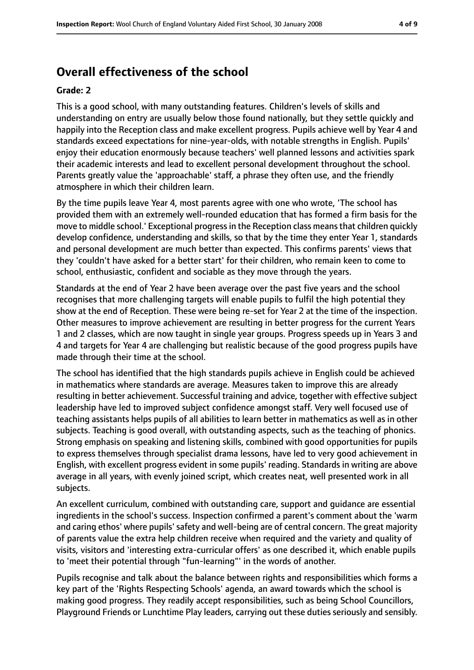# **Overall effectiveness of the school**

#### **Grade: 2**

This is a good school, with many outstanding features. Children's levels of skills and understanding on entry are usually below those found nationally, but they settle quickly and happily into the Reception class and make excellent progress. Pupils achieve well by Year 4 and standards exceed expectations for nine-year-olds, with notable strengths in English. Pupils' enjoy their education enormously because teachers' well planned lessons and activities spark their academic interests and lead to excellent personal development throughout the school. Parents greatly value the 'approachable' staff, a phrase they often use, and the friendly atmosphere in which their children learn.

By the time pupils leave Year 4, most parents agree with one who wrote, 'The school has provided them with an extremely well-rounded education that has formed a firm basis for the move to middle school.' Exceptional progress in the Reception class means that children quickly develop confidence, understanding and skills, so that by the time they enter Year 1, standards and personal development are much better than expected. This confirms parents' views that they 'couldn't have asked for a better start' for their children, who remain keen to come to school, enthusiastic, confident and sociable as they move through the years.

Standards at the end of Year 2 have been average over the past five years and the school recognises that more challenging targets will enable pupils to fulfil the high potential they show at the end of Reception. These were being re-set for Year 2 at the time of the inspection. Other measures to improve achievement are resulting in better progress for the current Years 1 and 2 classes, which are now taught in single year groups. Progress speeds up in Years 3 and 4 and targets for Year 4 are challenging but realistic because of the good progress pupils have made through their time at the school.

The school has identified that the high standards pupils achieve in English could be achieved in mathematics where standards are average. Measures taken to improve this are already resulting in better achievement. Successful training and advice, together with effective subject leadership have led to improved subject confidence amongst staff. Very well focused use of teaching assistants helps pupils of all abilities to learn better in mathematics as well as in other subjects. Teaching is good overall, with outstanding aspects, such as the teaching of phonics. Strong emphasis on speaking and listening skills, combined with good opportunities for pupils to express themselves through specialist drama lessons, have led to very good achievement in English, with excellent progress evident in some pupils' reading. Standards in writing are above average in all years, with evenly joined script, which creates neat, well presented work in all subjects.

An excellent curriculum, combined with outstanding care, support and guidance are essential ingredients in the school's success. Inspection confirmed a parent's comment about the 'warm and caring ethos' where pupils' safety and well-being are of central concern. The great majority of parents value the extra help children receive when required and the variety and quality of visits, visitors and 'interesting extra-curricular offers' as one described it, which enable pupils to 'meet their potential through "fun-learning"' in the words of another.

Pupils recognise and talk about the balance between rights and responsibilities which forms a key part of the 'Rights Respecting Schools' agenda, an award towards which the school is making good progress. They readily accept responsibilities, such as being School Councillors, Playground Friends or Lunchtime Play leaders, carrying out these duties seriously and sensibly.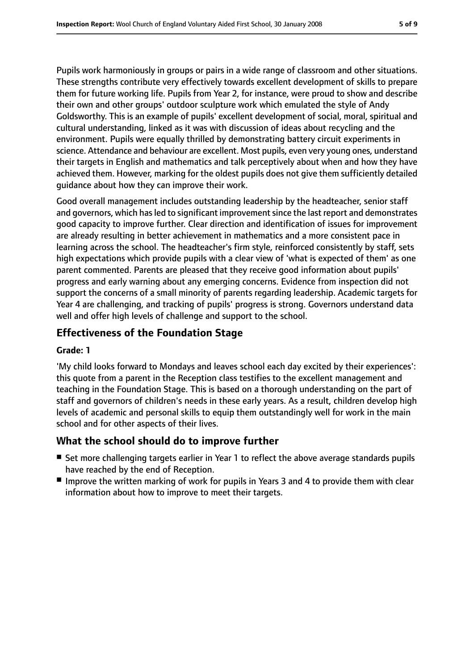Pupils work harmoniously in groups or pairs in a wide range of classroom and other situations. These strengths contribute very effectively towards excellent development of skills to prepare them for future working life. Pupils from Year 2, for instance, were proud to show and describe their own and other groups' outdoor sculpture work which emulated the style of Andy Goldsworthy. This is an example of pupils' excellent development of social, moral, spiritual and cultural understanding, linked as it was with discussion of ideas about recycling and the environment. Pupils were equally thrilled by demonstrating battery circuit experiments in science. Attendance and behaviour are excellent. Most pupils, even very young ones, understand their targets in English and mathematics and talk perceptively about when and how they have achieved them. However, marking for the oldest pupils does not give them sufficiently detailed guidance about how they can improve their work.

Good overall management includes outstanding leadership by the headteacher, senior staff and governors, which has led to significant improvement since the last report and demonstrates good capacity to improve further. Clear direction and identification of issues for improvement are already resulting in better achievement in mathematics and a more consistent pace in learning across the school. The headteacher's firm style, reinforced consistently by staff, sets high expectations which provide pupils with a clear view of 'what is expected of them' as one parent commented. Parents are pleased that they receive good information about pupils' progress and early warning about any emerging concerns. Evidence from inspection did not support the concerns of a small minority of parents regarding leadership. Academic targets for Year 4 are challenging, and tracking of pupils' progress is strong. Governors understand data well and offer high levels of challenge and support to the school.

## **Effectiveness of the Foundation Stage**

#### **Grade: 1**

'My child looks forward to Mondays and leaves school each day excited by their experiences': this quote from a parent in the Reception class testifies to the excellent management and teaching in the Foundation Stage. This is based on a thorough understanding on the part of staff and governors of children's needs in these early years. As a result, children develop high levels of academic and personal skills to equip them outstandingly well for work in the main school and for other aspects of their lives.

## **What the school should do to improve further**

- Set more challenging targets earlier in Year 1 to reflect the above average standards pupils have reached by the end of Reception.
- Improve the written marking of work for pupils in Years 3 and 4 to provide them with clear information about how to improve to meet their targets.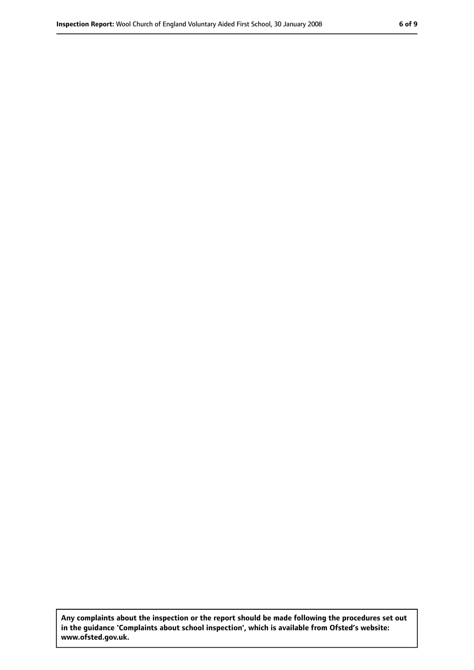**Any complaints about the inspection or the report should be made following the procedures set out in the guidance 'Complaints about school inspection', which is available from Ofsted's website: www.ofsted.gov.uk.**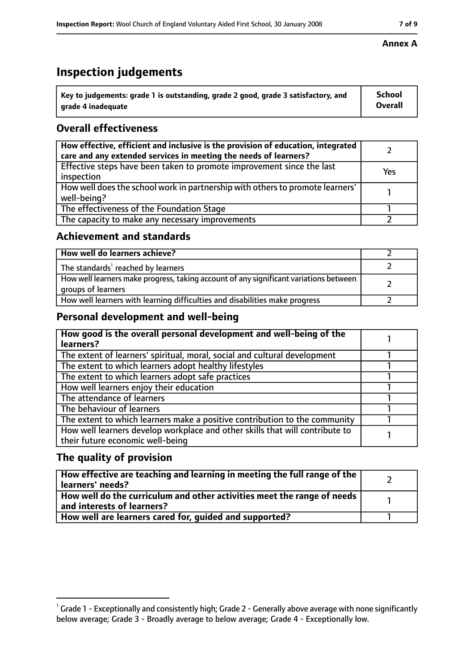# **Inspection judgements**

| $^{\backprime}$ Key to judgements: grade 1 is outstanding, grade 2 good, grade 3 satisfactory, and | <b>School</b>  |
|----------------------------------------------------------------------------------------------------|----------------|
| arade 4 inadequate                                                                                 | <b>Overall</b> |

## **Overall effectiveness**

| How effective, efficient and inclusive is the provision of education, integrated<br>care and any extended services in meeting the needs of learners? |     |
|------------------------------------------------------------------------------------------------------------------------------------------------------|-----|
| Effective steps have been taken to promote improvement since the last<br>inspection                                                                  | Yes |
| How well does the school work in partnership with others to promote learners'<br>well-being?                                                         |     |
| The effectiveness of the Foundation Stage                                                                                                            |     |
| The capacity to make any necessary improvements                                                                                                      |     |

### **Achievement and standards**

| How well do learners achieve?                                                                               |  |
|-------------------------------------------------------------------------------------------------------------|--|
| The standards <sup>1</sup> reached by learners                                                              |  |
| How well learners make progress, taking account of any significant variations between<br>groups of learners |  |
| How well learners with learning difficulties and disabilities make progress                                 |  |

## **Personal development and well-being**

| How good is the overall personal development and well-being of the           |  |
|------------------------------------------------------------------------------|--|
| learners?                                                                    |  |
| The extent of learners' spiritual, moral, social and cultural development    |  |
| The extent to which learners adopt healthy lifestyles                        |  |
| The extent to which learners adopt safe practices                            |  |
| How well learners enjoy their education                                      |  |
| The attendance of learners                                                   |  |
| The behaviour of learners                                                    |  |
| The extent to which learners make a positive contribution to the community   |  |
| How well learners develop workplace and other skills that will contribute to |  |
| their future economic well-being                                             |  |

## **The quality of provision**

| How effective are teaching and learning in meeting the full range of the<br>learners' needs?          |  |
|-------------------------------------------------------------------------------------------------------|--|
| How well do the curriculum and other activities meet the range of needs<br>and interests of learners? |  |
| How well are learners cared for, quided and supported?                                                |  |

#### **Annex A**

 $^1$  Grade 1 - Exceptionally and consistently high; Grade 2 - Generally above average with none significantly below average; Grade 3 - Broadly average to below average; Grade 4 - Exceptionally low.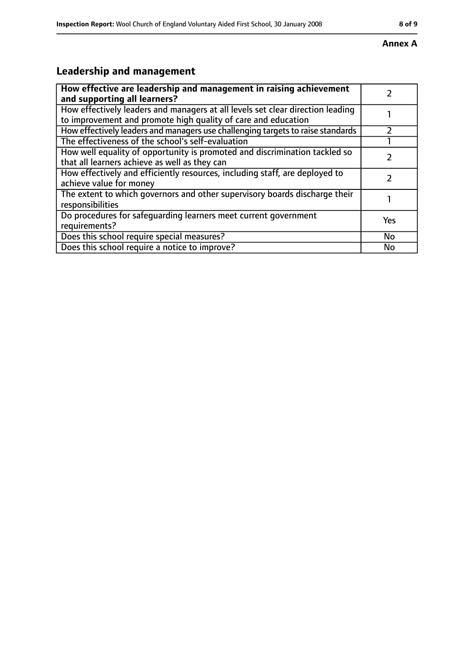#### **Annex A**

# **Leadership and management**

| How effective are leadership and management in raising achievement<br>and supporting all learners?                                              |     |
|-------------------------------------------------------------------------------------------------------------------------------------------------|-----|
| How effectively leaders and managers at all levels set clear direction leading<br>to improvement and promote high quality of care and education |     |
| How effectively leaders and managers use challenging targets to raise standards                                                                 |     |
| The effectiveness of the school's self-evaluation                                                                                               |     |
| How well equality of opportunity is promoted and discrimination tackled so<br>that all learners achieve as well as they can                     |     |
| How effectively and efficiently resources, including staff, are deployed to<br>achieve value for money                                          |     |
| The extent to which governors and other supervisory boards discharge their<br>responsibilities                                                  |     |
| Do procedures for safequarding learners meet current government<br>requirements?                                                                | Yes |
| Does this school require special measures?                                                                                                      | No  |
| Does this school require a notice to improve?                                                                                                   | No  |